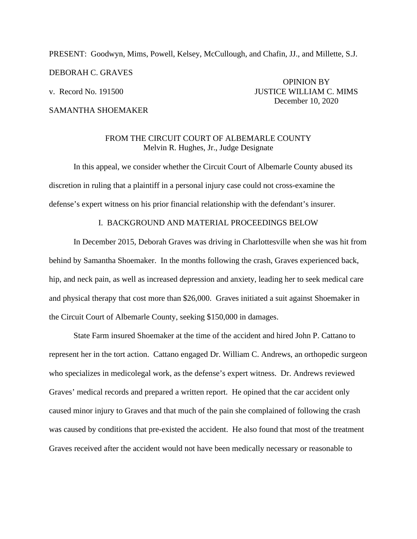# PRESENT: Goodwyn, Mims, Powell, Kelsey, McCullough, and Chafin, JJ., and Millette, S.J. DEBORAH C. GRAVES OPINION BY v. Record No. 191500 **JUSTICE WILLIAM C. MIMS**

SAMANTHA SHOEMAKER

December 10, 2020

## FROM THE CIRCUIT COURT OF ALBEMARLE COUNTY Melvin R. Hughes, Jr., Judge Designate

In this appeal, we consider whether the Circuit Court of Albemarle County abused its discretion in ruling that a plaintiff in a personal injury case could not cross-examine the defense's expert witness on his prior financial relationship with the defendant's insurer.

#### I. BACKGROUND AND MATERIAL PROCEEDINGS BELOW

In December 2015, Deborah Graves was driving in Charlottesville when she was hit from behind by Samantha Shoemaker. In the months following the crash, Graves experienced back, hip, and neck pain, as well as increased depression and anxiety, leading her to seek medical care and physical therapy that cost more than \$26,000. Graves initiated a suit against Shoemaker in the Circuit Court of Albemarle County, seeking \$150,000 in damages.

State Farm insured Shoemaker at the time of the accident and hired John P. Cattano to represent her in the tort action. Cattano engaged Dr. William C. Andrews, an orthopedic surgeon who specializes in medicolegal work, as the defense's expert witness. Dr. Andrews reviewed Graves' medical records and prepared a written report. He opined that the car accident only caused minor injury to Graves and that much of the pain she complained of following the crash was caused by conditions that pre-existed the accident. He also found that most of the treatment Graves received after the accident would not have been medically necessary or reasonable to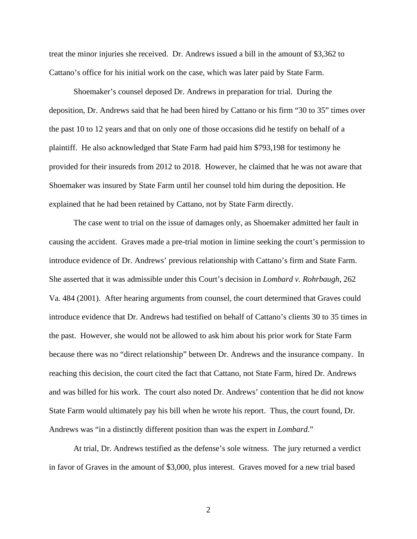treat the minor injuries she received. Dr. Andrews issued a bill in the amount of \$3,362 to Cattano's office for his initial work on the case, which was later paid by State Farm.

Shoemaker's counsel deposed Dr. Andrews in preparation for trial. During the deposition, Dr. Andrews said that he had been hired by Cattano or his firm "30 to 35" times over the past 10 to 12 years and that on only one of those occasions did he testify on behalf of a plaintiff. He also acknowledged that State Farm had paid him \$793,198 for testimony he provided for their insureds from 2012 to 2018. However, he claimed that he was not aware that Shoemaker was insured by State Farm until her counsel told him during the deposition. He explained that he had been retained by Cattano, not by State Farm directly.

The case went to trial on the issue of damages only, as Shoemaker admitted her fault in causing the accident. Graves made a pre-trial motion in limine seeking the court's permission to introduce evidence of Dr. Andrews' previous relationship with Cattano's firm and State Farm. She asserted that it was admissible under this Court's decision in *Lombard v. Rohrbaugh*, 262 Va. 484 (2001). After hearing arguments from counsel, the court determined that Graves could introduce evidence that Dr. Andrews had testified on behalf of Cattano's clients 30 to 35 times in the past. However, she would not be allowed to ask him about his prior work for State Farm because there was no "direct relationship" between Dr. Andrews and the insurance company. In reaching this decision, the court cited the fact that Cattano, not State Farm, hired Dr. Andrews and was billed for his work. The court also noted Dr. Andrews' contention that he did not know State Farm would ultimately pay his bill when he wrote his report. Thus, the court found, Dr. Andrews was "in a distinctly different position than was the expert in *Lombard*."

At trial, Dr. Andrews testified as the defense's sole witness. The jury returned a verdict in favor of Graves in the amount of \$3,000, plus interest. Graves moved for a new trial based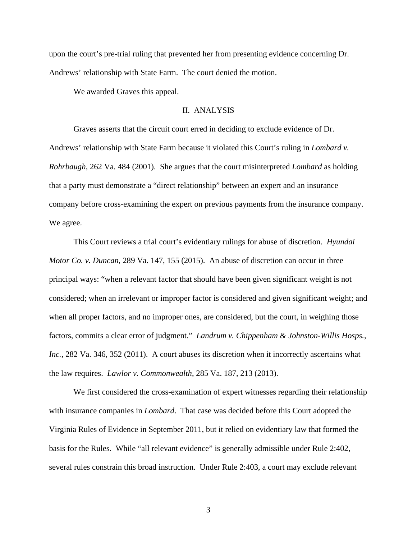upon the court's pre-trial ruling that prevented her from presenting evidence concerning Dr. Andrews' relationship with State Farm. The court denied the motion.

We awarded Graves this appeal.

### II. ANALYSIS

Graves asserts that the circuit court erred in deciding to exclude evidence of Dr. Andrews' relationship with State Farm because it violated this Court's ruling in *Lombard v. Rohrbaugh*, 262 Va. 484 (2001). She argues that the court misinterpreted *Lombard* as holding that a party must demonstrate a "direct relationship" between an expert and an insurance company before cross-examining the expert on previous payments from the insurance company. We agree.

This Court reviews a trial court's evidentiary rulings for abuse of discretion. *Hyundai Motor Co. v. Duncan,* 289 Va. 147, 155 (2015). An abuse of discretion can occur in three principal ways: "when a relevant factor that should have been given significant weight is not considered; when an irrelevant or improper factor is considered and given significant weight; and when all proper factors, and no improper ones, are considered, but the court, in weighing those factors, commits a clear error of judgment." *Landrum v. Chippenham & Johnston-Willis Hosps., Inc.*, 282 Va. 346, 352 (2011). A court abuses its discretion when it incorrectly ascertains what the law requires. *Lawlor v. Commonwealth*, 285 Va. 187, 213 (2013).

We first considered the cross-examination of expert witnesses regarding their relationship with insurance companies in *Lombard*. That case was decided before this Court adopted the Virginia Rules of Evidence in September 2011, but it relied on evidentiary law that formed the basis for the Rules. While "all relevant evidence" is generally admissible under Rule 2:402, several rules constrain this broad instruction. Under Rule 2:403, a court may exclude relevant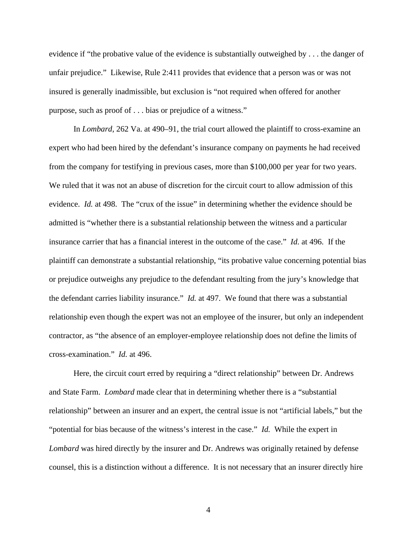evidence if "the probative value of the evidence is substantially outweighed by . . . the danger of unfair prejudice." Likewise, Rule 2:411 provides that evidence that a person was or was not insured is generally inadmissible, but exclusion is "not required when offered for another purpose, such as proof of . . . bias or prejudice of a witness."

In *Lombard*, 262 Va. at 490–91, the trial court allowed the plaintiff to cross-examine an expert who had been hired by the defendant's insurance company on payments he had received from the company for testifying in previous cases, more than \$100,000 per year for two years. We ruled that it was not an abuse of discretion for the circuit court to allow admission of this evidence. *Id.* at 498. The "crux of the issue" in determining whether the evidence should be admitted is "whether there is a substantial relationship between the witness and a particular insurance carrier that has a financial interest in the outcome of the case." *Id.* at 496. If the plaintiff can demonstrate a substantial relationship, "its probative value concerning potential bias or prejudice outweighs any prejudice to the defendant resulting from the jury's knowledge that the defendant carries liability insurance." *Id.* at 497. We found that there was a substantial relationship even though the expert was not an employee of the insurer, but only an independent contractor, as "the absence of an employer-employee relationship does not define the limits of cross-examination." *Id.* at 496.

Here, the circuit court erred by requiring a "direct relationship" between Dr. Andrews and State Farm. *Lombard* made clear that in determining whether there is a "substantial relationship" between an insurer and an expert, the central issue is not "artificial labels," but the "potential for bias because of the witness's interest in the case." *Id.* While the expert in *Lombard* was hired directly by the insurer and Dr. Andrews was originally retained by defense counsel, this is a distinction without a difference. It is not necessary that an insurer directly hire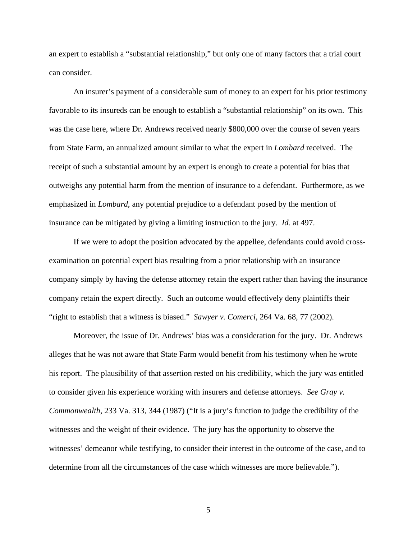an expert to establish a "substantial relationship," but only one of many factors that a trial court can consider.

An insurer's payment of a considerable sum of money to an expert for his prior testimony favorable to its insureds can be enough to establish a "substantial relationship" on its own. This was the case here, where Dr. Andrews received nearly \$800,000 over the course of seven years from State Farm, an annualized amount similar to what the expert in *Lombard* received. The receipt of such a substantial amount by an expert is enough to create a potential for bias that outweighs any potential harm from the mention of insurance to a defendant. Furthermore, as we emphasized in *Lombard*, any potential prejudice to a defendant posed by the mention of insurance can be mitigated by giving a limiting instruction to the jury. *Id.* at 497.

If we were to adopt the position advocated by the appellee, defendants could avoid crossexamination on potential expert bias resulting from a prior relationship with an insurance company simply by having the defense attorney retain the expert rather than having the insurance company retain the expert directly. Such an outcome would effectively deny plaintiffs their "right to establish that a witness is biased." *Sawyer v. Comerci*, 264 Va. 68, 77 (2002).

Moreover, the issue of Dr. Andrews' bias was a consideration for the jury. Dr. Andrews alleges that he was not aware that State Farm would benefit from his testimony when he wrote his report. The plausibility of that assertion rested on his credibility, which the jury was entitled to consider given his experience working with insurers and defense attorneys. *See Gray v. Commonwealth*, 233 Va. 313, 344 (1987) ("It is a jury's function to judge the credibility of the witnesses and the weight of their evidence. The jury has the opportunity to observe the witnesses' demeanor while testifying, to consider their interest in the outcome of the case, and to determine from all the circumstances of the case which witnesses are more believable.").